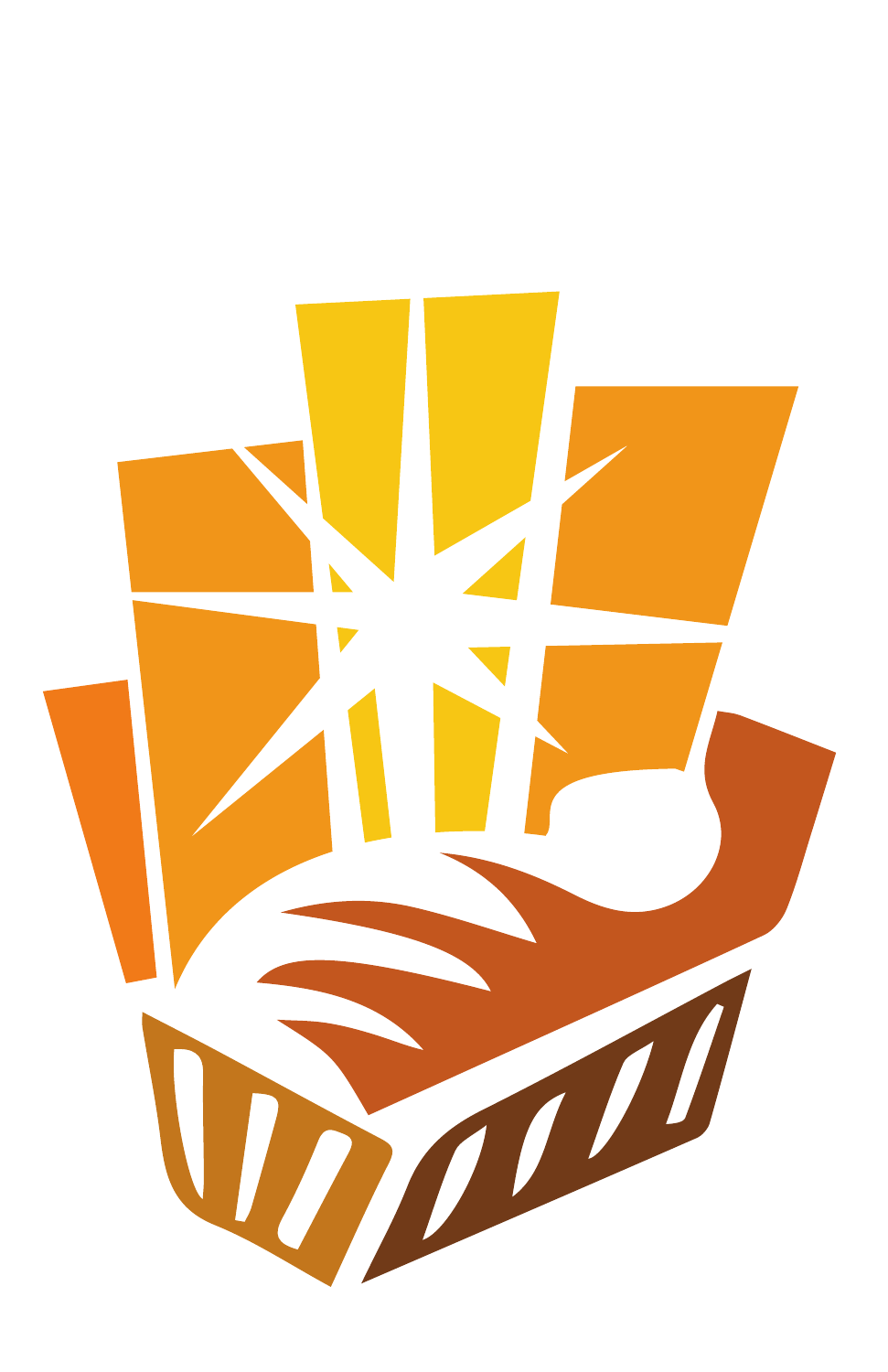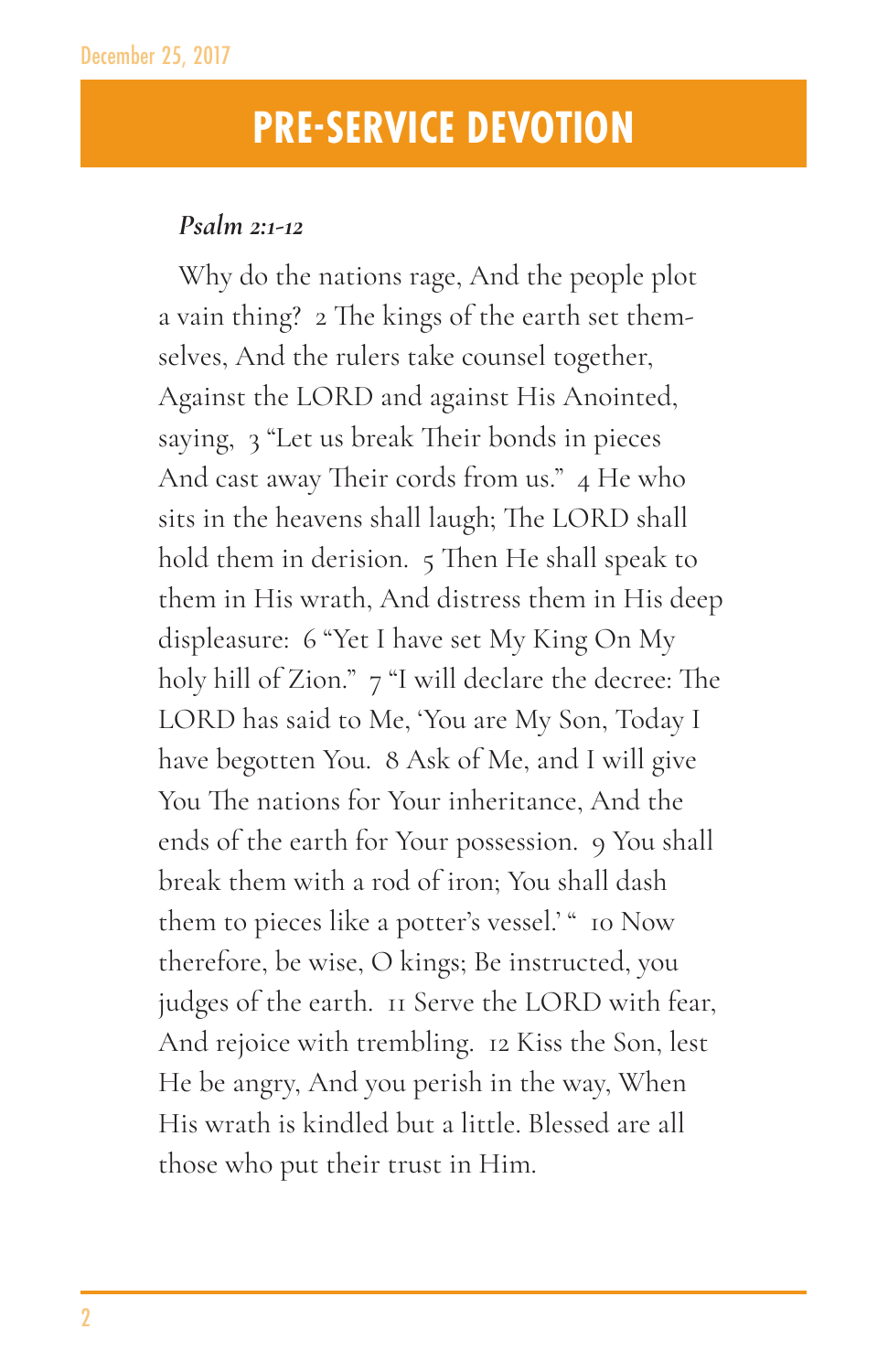# **PRE-SERVICE DEVOTION**

#### *Psalm 2:1-12*

Why do the nations rage, And the people plot a vain thing? 2 The kings of the earth set themselves, And the rulers take counsel together, Against the LORD and against His Anointed, saying, 3 "Let us break Their bonds in pieces And cast away Their cords from us." 4 He who sits in the heavens shall laugh; The LORD shall hold them in derision. 5 Then He shall speak to them in His wrath, And distress them in His deep displeasure: 6 "Yet I have set My King On My holy hill of Zion." 7 "I will declare the decree: The LORD has said to Me, 'You are My Son, Today I have begotten You. 8 Ask of Me, and I will give You The nations for Your inheritance, And the ends of the earth for Your possession. 9 You shall break them with a rod of iron; You shall dash them to pieces like a potter's vessel.' " 10 Now therefore, be wise, O kings; Be instructed, you judges of the earth. 11 Serve the LORD with fear, And rejoice with trembling. 12 Kiss the Son, lest He be angry, And you perish in the way, When His wrath is kindled but a little. Blessed are all those who put their trust in Him.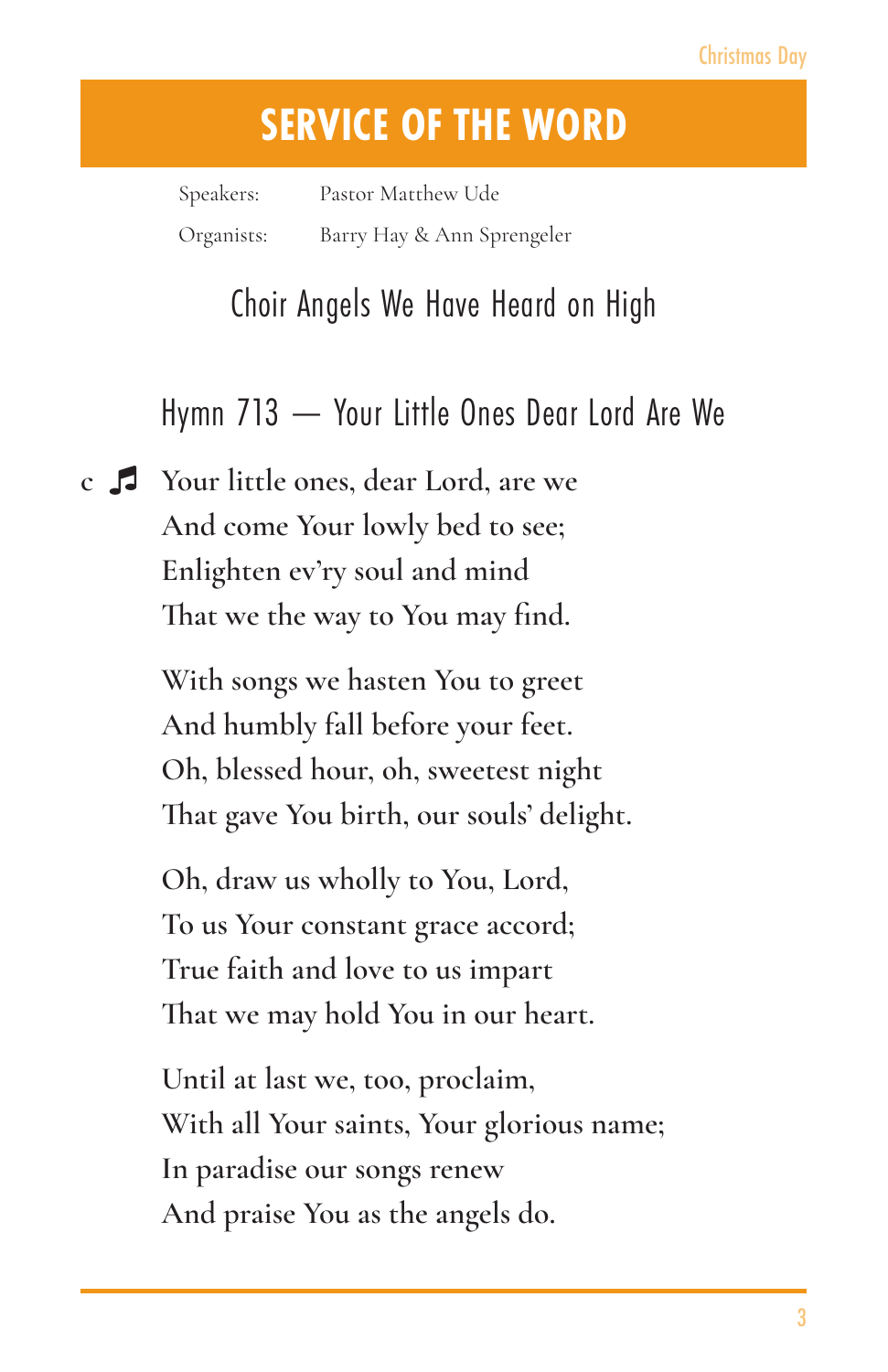## **SERVICE OF THE WORD**

Speakers: Pastor Matthew Ude Organists: Barry Hay & Ann Sprengeler

#### Choir Angels We Have Heard on High

#### Hymn 713 — Your Little Ones Dear Lord Are We

**c Your little ones, dear Lord, are we And come Your lowly bed to see; Enlighten ev'ry soul and mind That we the way to You may find.**

> **With songs we hasten You to greet And humbly fall before your feet. Oh, blessed hour, oh, sweetest night That gave You birth, our souls' delight.**

**Oh, draw us wholly to You, Lord, To us Your constant grace accord; True faith and love to us impart That we may hold You in our heart.**

**Until at last we, too, proclaim, With all Your saints, Your glorious name; In paradise our songs renew And praise You as the angels do.**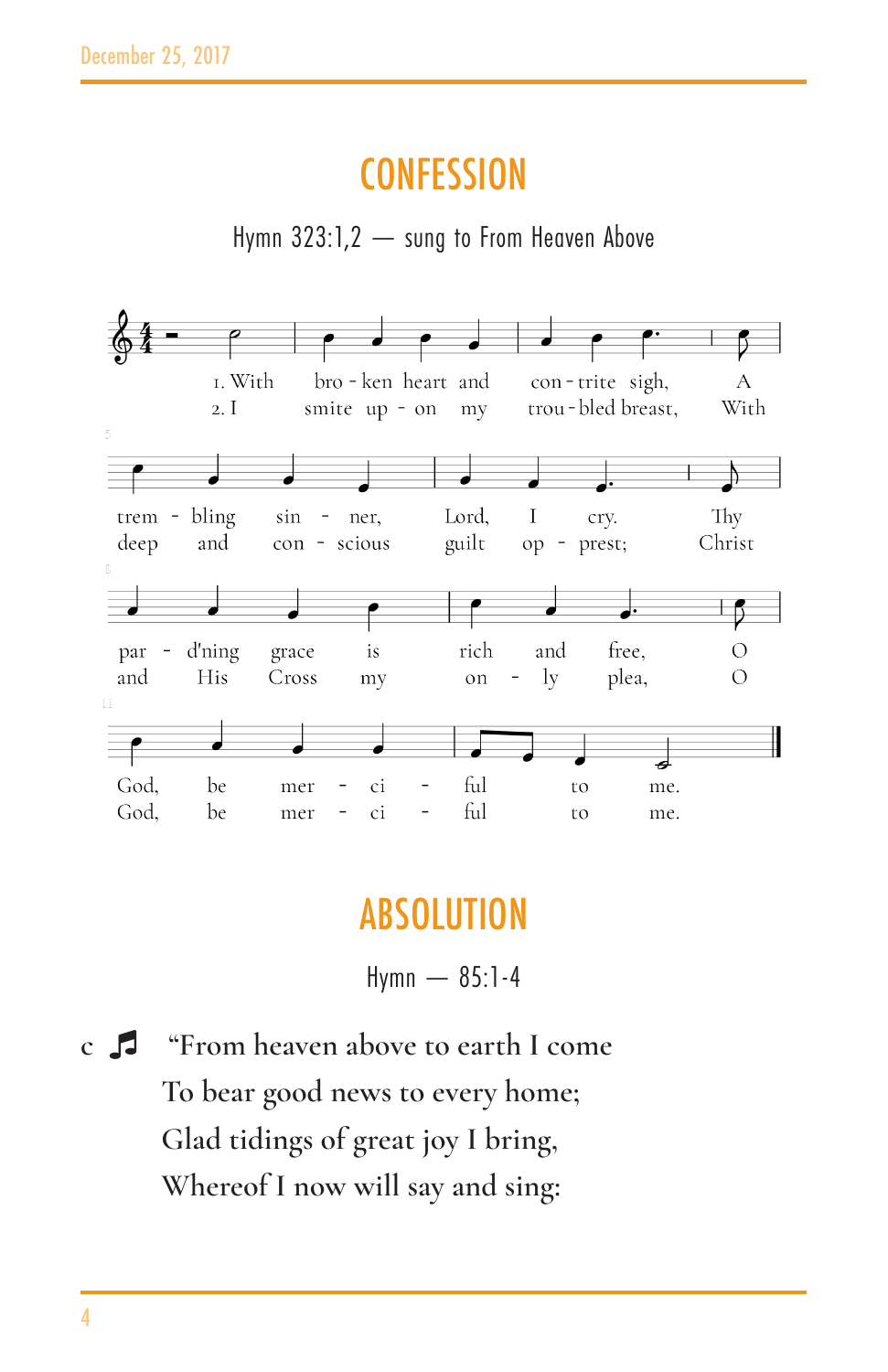#### **CONFESSION**

Hymn 323:1,2 — sung to From Heaven Above



## ABSOLUTION

Hymn — 85:1-4

**c "From heaven above to earth I come To bear good news to every home; Glad tidings of great joy I bring, Whereof I now will say and sing:**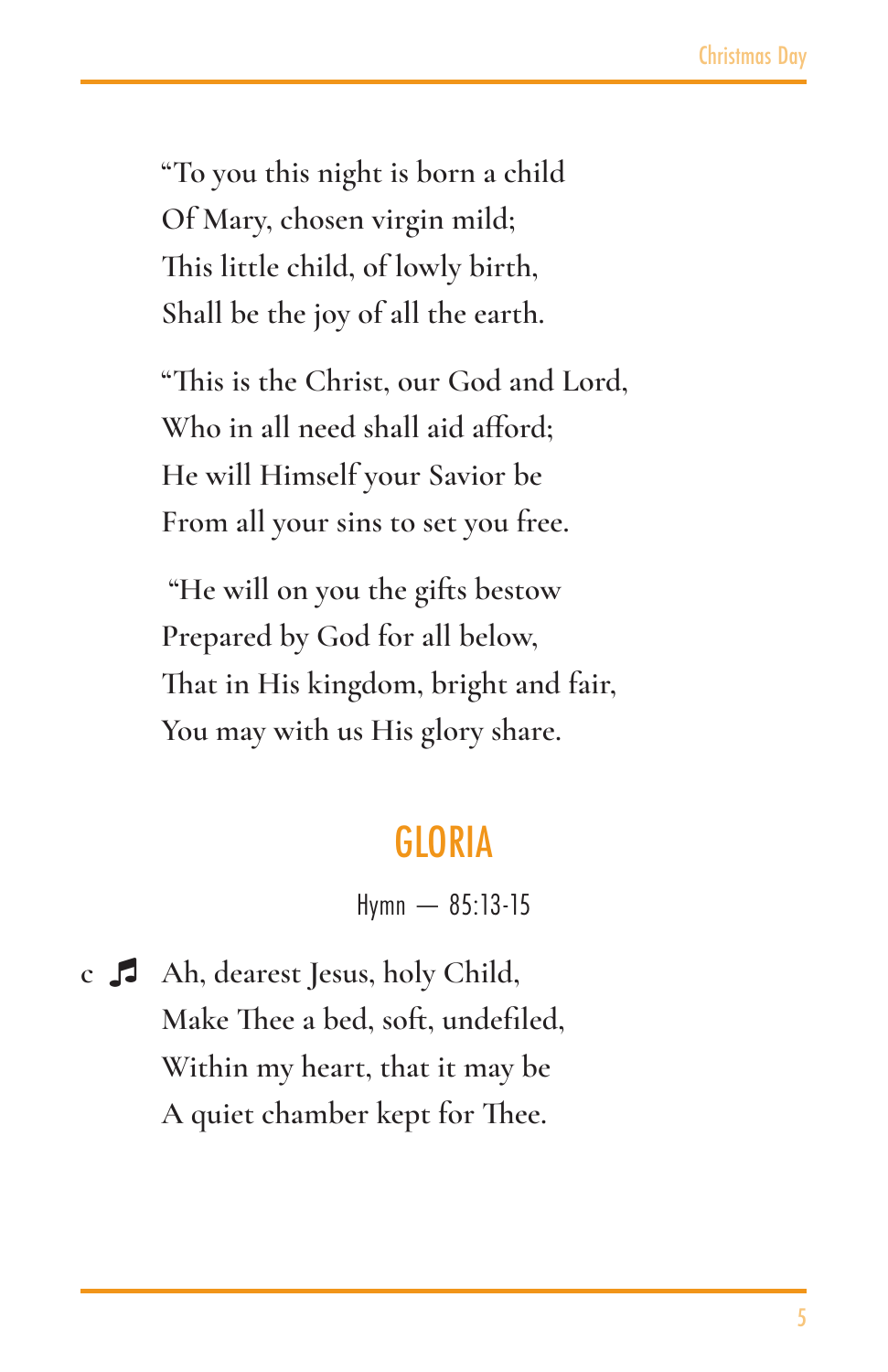**"To you this night is born a child Of Mary, chosen virgin mild; This little child, of lowly birth, Shall be the joy of all the earth.**

**"This is the Christ, our God and Lord, Who in all need shall aid afford; He will Himself your Savior be From all your sins to set you free.**

 **"He will on you the gifts bestow Prepared by God for all below, That in His kingdom, bright and fair, You may with us His glory share.**

#### GLORIA

Hymn — 85:13-15

**c Ah, dearest Jesus, holy Child, Make Thee a bed, soft, undefiled, Within my heart, that it may be A quiet chamber kept for Thee.**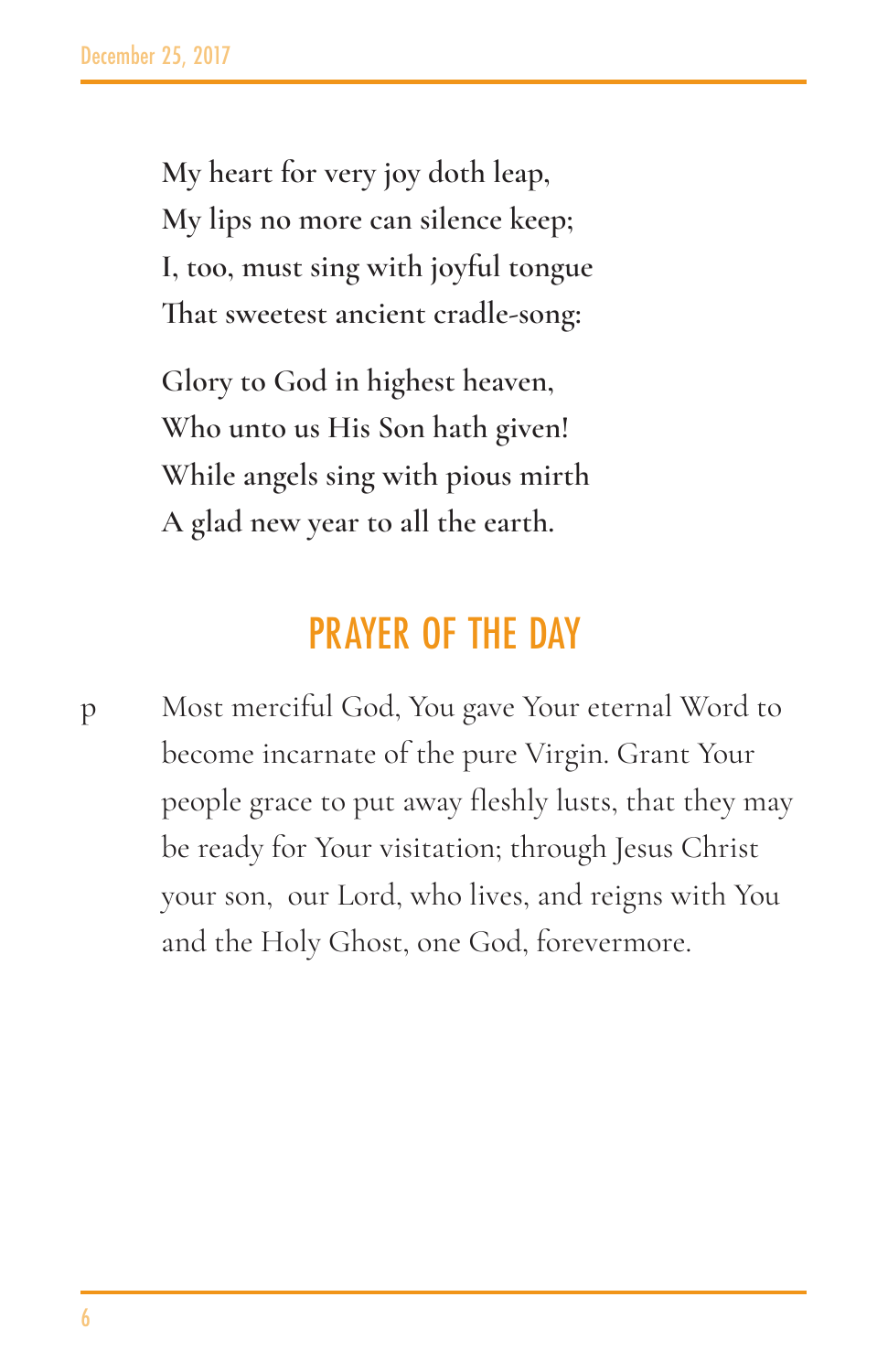**My heart for very joy doth leap, My lips no more can silence keep; I, too, must sing with joyful tongue That sweetest ancient cradle-song:**

**Glory to God in highest heaven, Who unto us His Son hath given! While angels sing with pious mirth A glad new year to all the earth.**

#### PRAYER OF THE DAY

p Most merciful God, You gave Your eternal Word to become incarnate of the pure Virgin. Grant Your people grace to put away fleshly lusts, that they may be ready for Your visitation; through Jesus Christ your son, our Lord, who lives, and reigns with You and the Holy Ghost, one God, forevermore.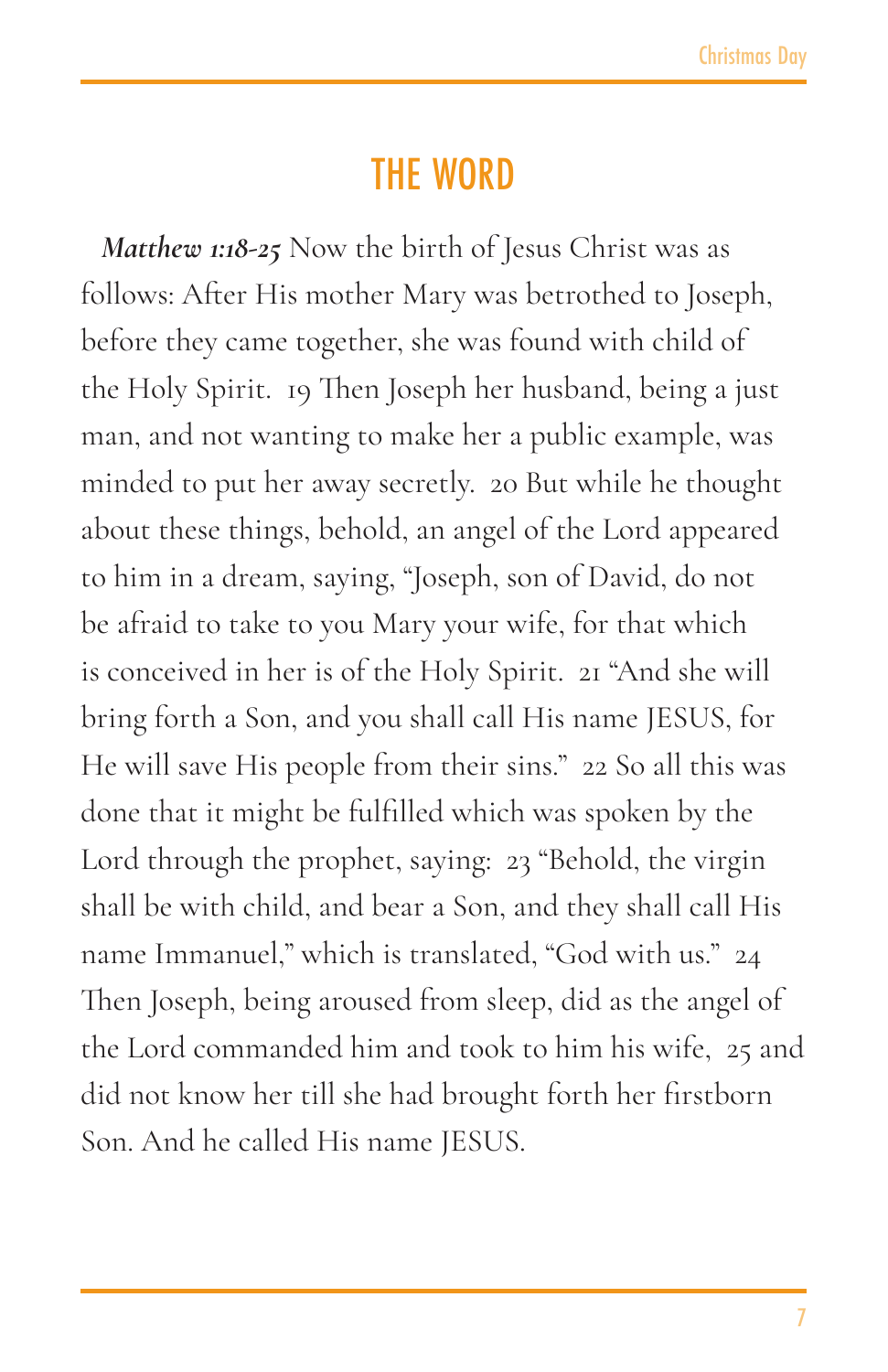### THE WORD

*Matthew 1:18-25* Now the birth of Jesus Christ was as follows: After His mother Mary was betrothed to Joseph, before they came together, she was found with child of the Holy Spirit. 19 Then Joseph her husband, being a just man, and not wanting to make her a public example, was minded to put her away secretly. 20 But while he thought about these things, behold, an angel of the Lord appeared to him in a dream, saying, "Joseph, son of David, do not be afraid to take to you Mary your wife, for that which is conceived in her is of the Holy Spirit. 21 "And she will bring forth a Son, and you shall call His name JESUS, for He will save His people from their sins." 22 So all this was done that it might be fulfilled which was spoken by the Lord through the prophet, saying: 23 "Behold, the virgin shall be with child, and bear a Son, and they shall call His name Immanuel," which is translated, "God with us." 24 Then Joseph, being aroused from sleep, did as the angel of the Lord commanded him and took to him his wife, 25 and did not know her till she had brought forth her firstborn Son. And he called His name JESUS.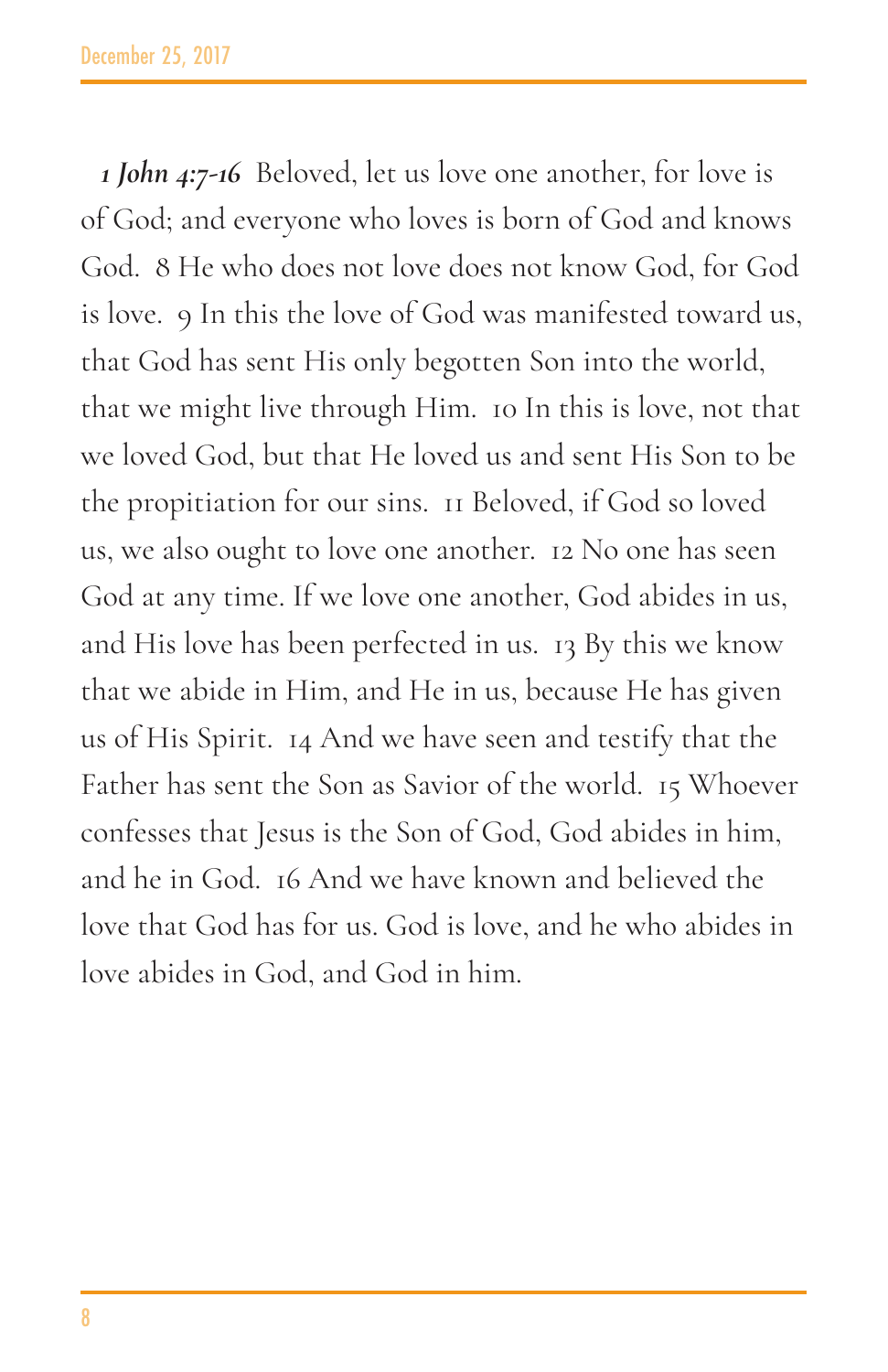*1 John 4:7-16* Beloved, let us love one another, for love is of God; and everyone who loves is born of God and knows God. 8 He who does not love does not know God, for God is love. 9 In this the love of God was manifested toward us, that God has sent His only begotten Son into the world, that we might live through Him. 10 In this is love, not that we loved God, but that He loved us and sent His Son to be the propitiation for our sins. 11 Beloved, if God so loved us, we also ought to love one another. 12 No one has seen God at any time. If we love one another, God abides in us, and His love has been perfected in us. 13 By this we know that we abide in Him, and He in us, because He has given us of His Spirit. 14 And we have seen and testify that the Father has sent the Son as Savior of the world. 15 Whoever confesses that Jesus is the Son of God, God abides in him, and he in God. 16 And we have known and believed the love that God has for us. God is love, and he who abides in love abides in God, and God in him.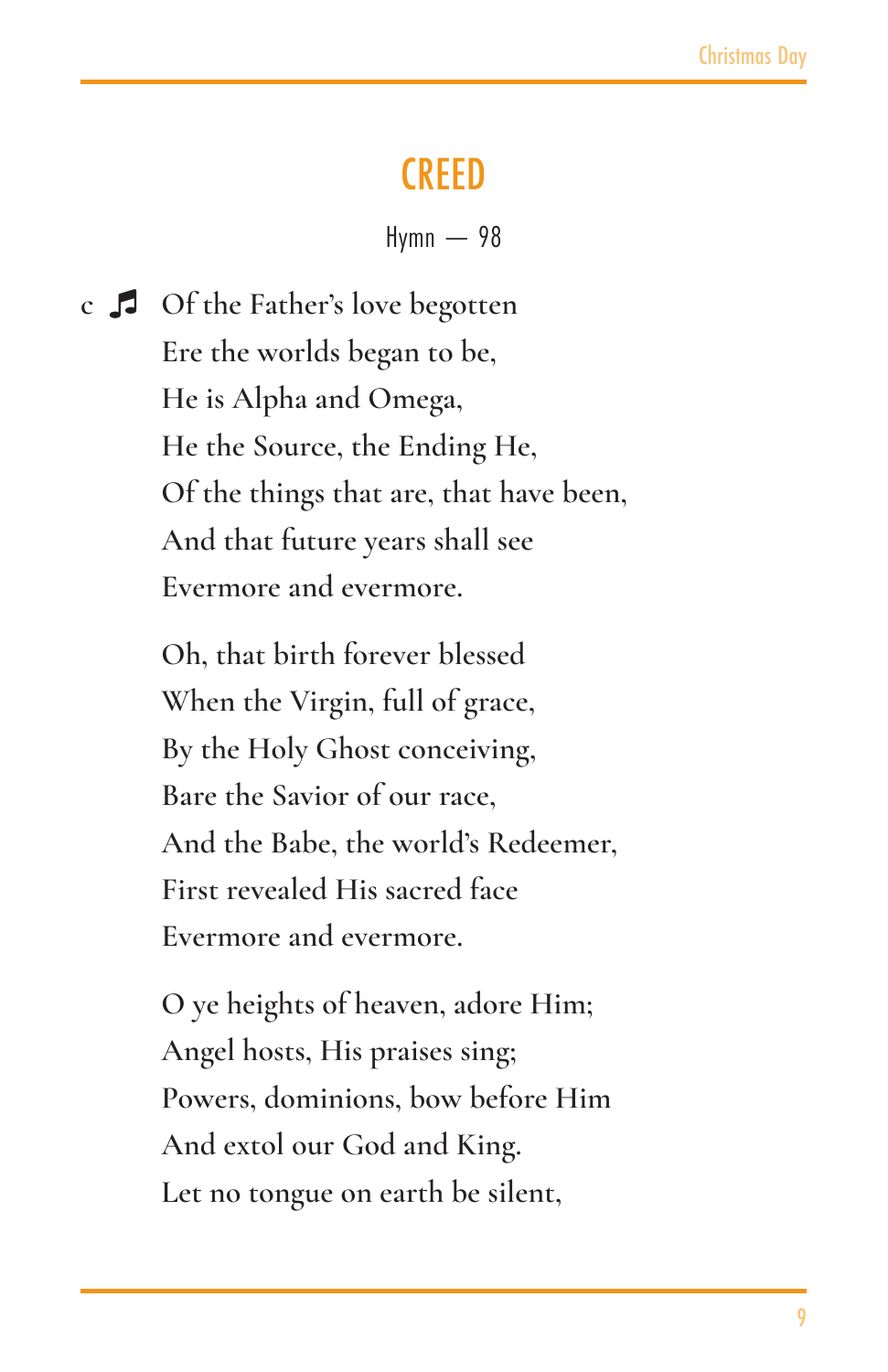### **CREED**

Hymn — 98

**c Of the Father's love begotten Ere the worlds began to be, He is Alpha and Omega, He the Source, the Ending He, Of the things that are, that have been, And that future years shall see Evermore and evermore.**

> **Oh, that birth forever blessed When the Virgin, full of grace, By the Holy Ghost conceiving, Bare the Savior of our race, And the Babe, the world's Redeemer, First revealed His sacred face Evermore and evermore.**

**O ye heights of heaven, adore Him; Angel hosts, His praises sing; Powers, dominions, bow before Him And extol our God and King. Let no tongue on earth be silent,**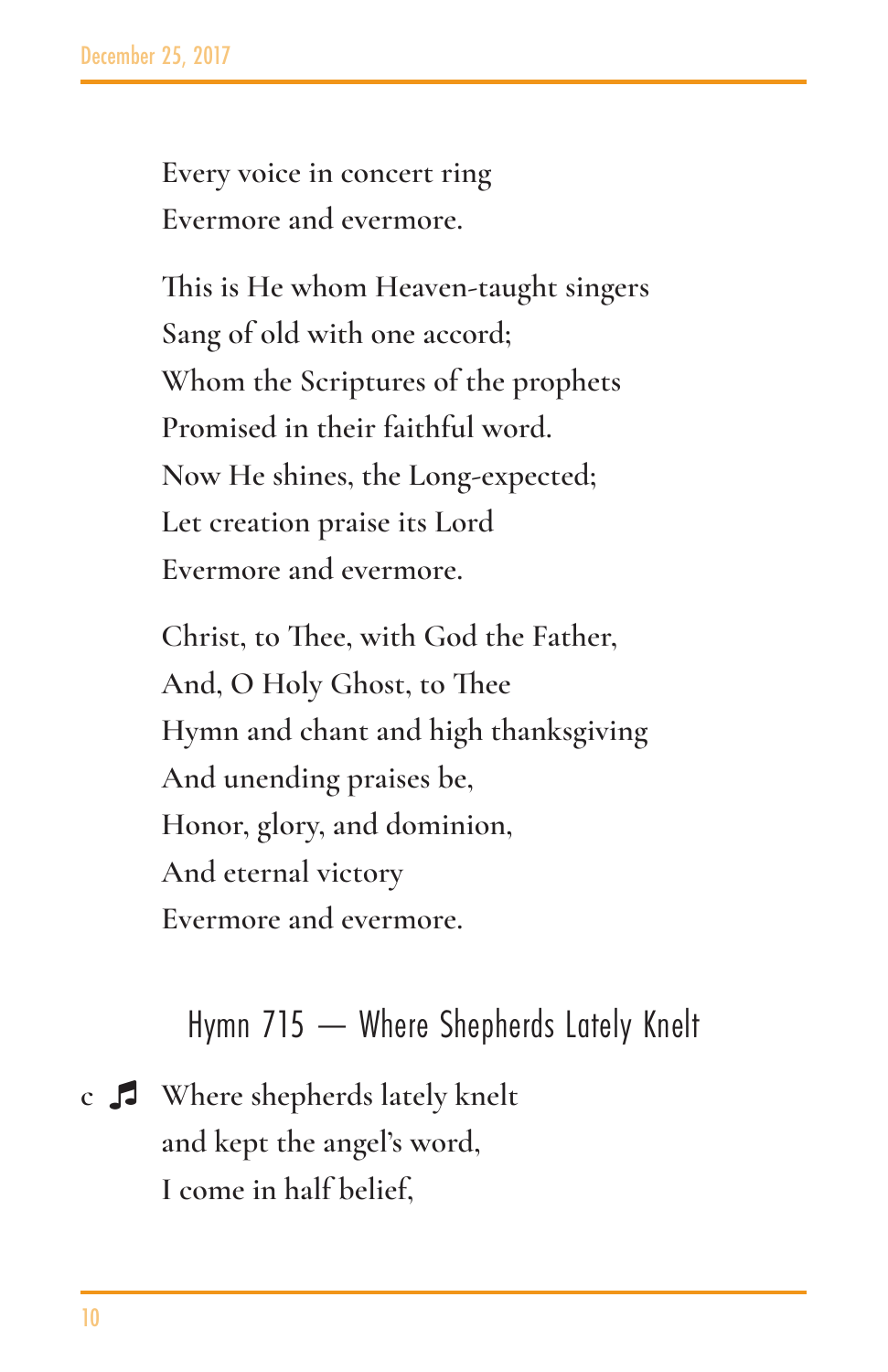**Every voice in concert ring Evermore and evermore.**

**This is He whom Heaven-taught singers Sang of old with one accord; Whom the Scriptures of the prophets Promised in their faithful word. Now He shines, the Long-expected; Let creation praise its Lord Evermore and evermore.**

**Christ, to Thee, with God the Father, And, O Holy Ghost, to Thee Hymn and chant and high thanksgiving And unending praises be, Honor, glory, and dominion, And eternal victory Evermore and evermore.**

Hymn 715 — Where Shepherds Lately Knelt

**c Where shepherds lately knelt and kept the angel's word, I come in half belief,**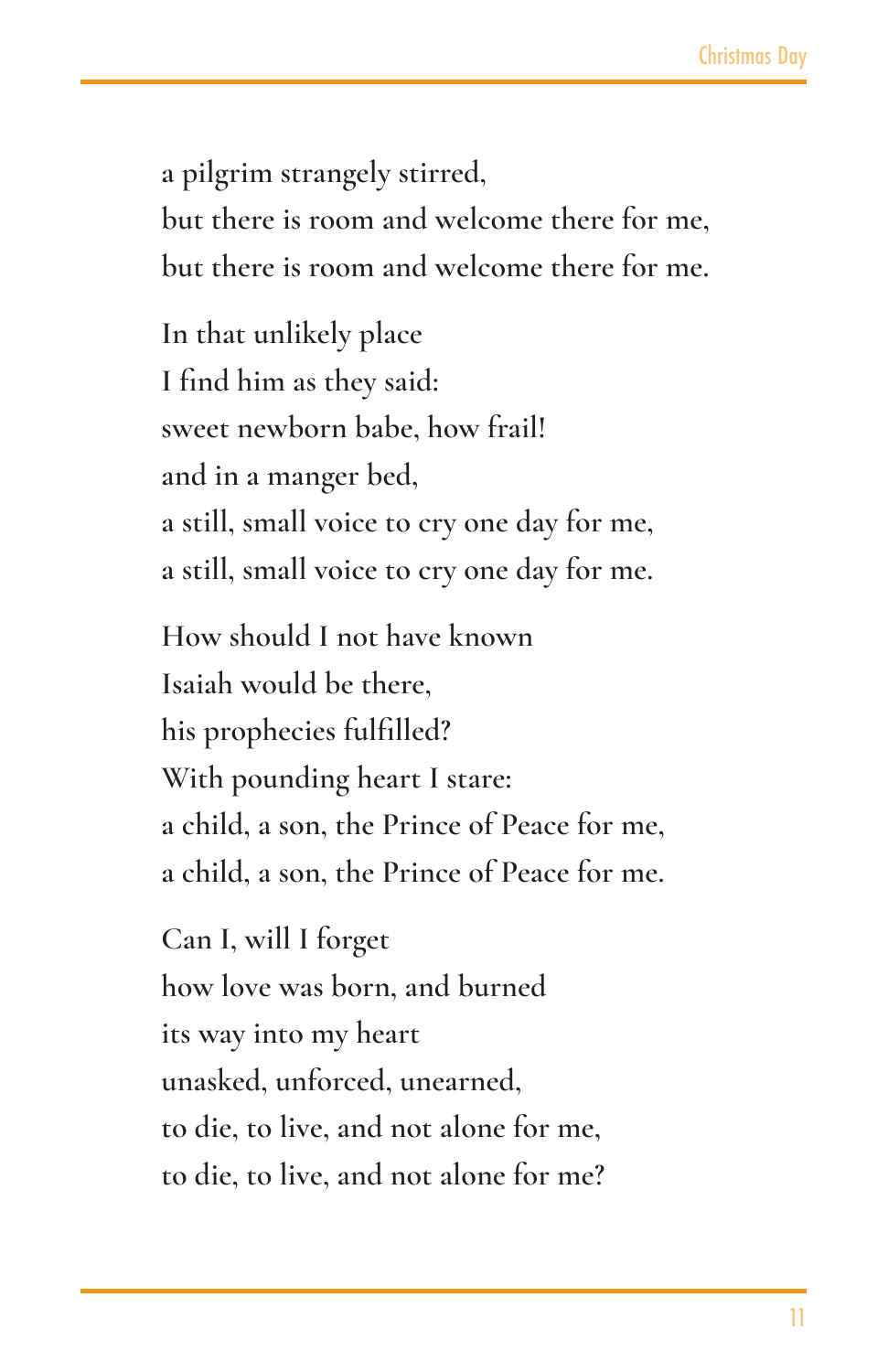**a pilgrim strangely stirred, but there is room and welcome there for me, but there is room and welcome there for me.**

**In that unlikely place I find him as they said: sweet newborn babe, how frail! and in a manger bed, a still, small voice to cry one day for me, a still, small voice to cry one day for me.**

**How should I not have known Isaiah would be there, his prophecies fulfilled? With pounding heart I stare: a child, a son, the Prince of Peace for me, a child, a son, the Prince of Peace for me.**

**Can I, will I forget how love was born, and burned its way into my heart unasked, unforced, unearned, to die, to live, and not alone for me, to die, to live, and not alone for me?**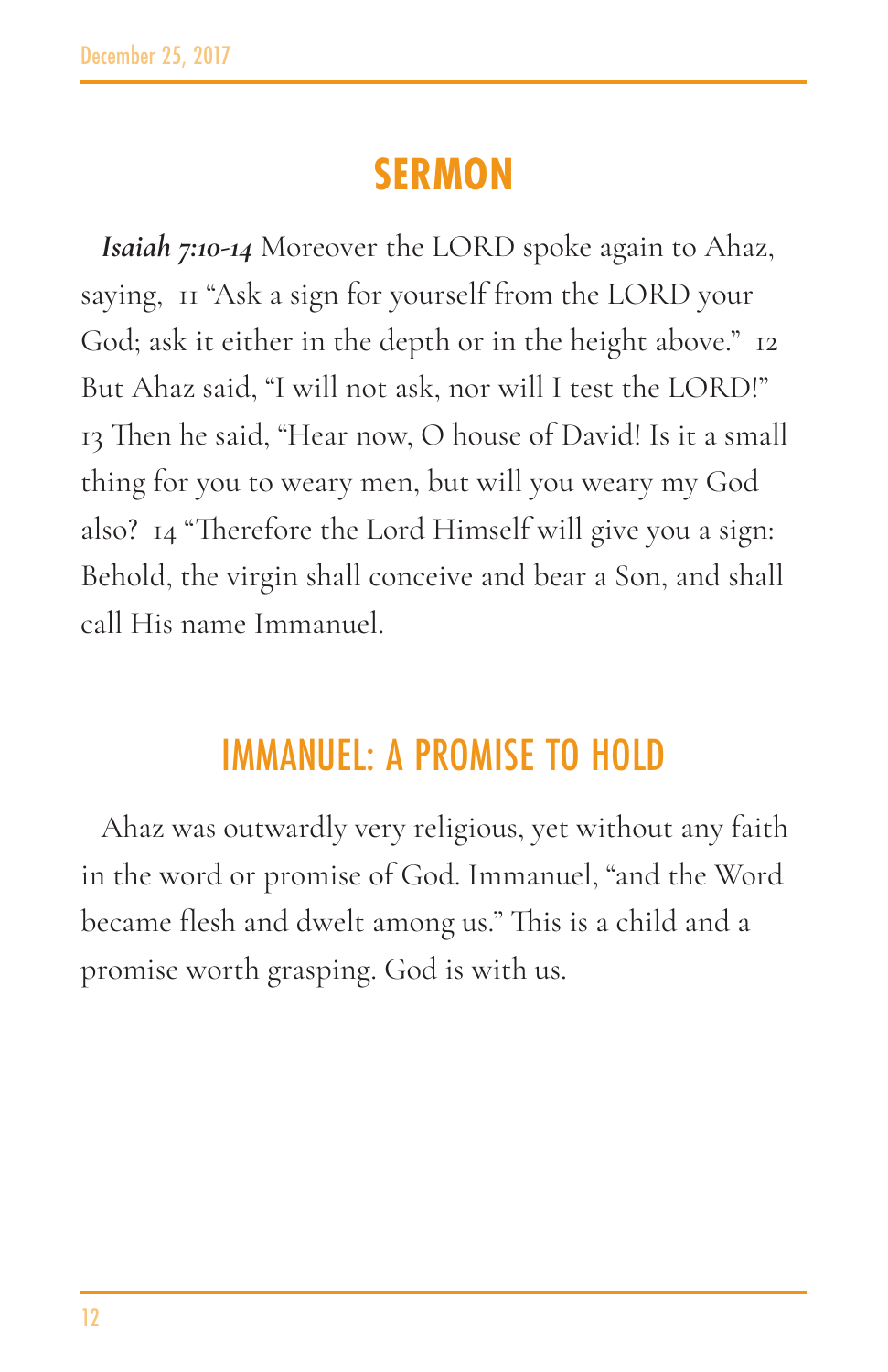## **SERMON**

*Isaiah 7:10-14* Moreover the LORD spoke again to Ahaz, saying, 11 "Ask a sign for yourself from the LORD your God; ask it either in the depth or in the height above." 12 But Ahaz said, "I will not ask, nor will I test the LORD!" 13 Then he said, "Hear now, O house of David! Is it a small thing for you to weary men, but will you weary my God also? 14 "Therefore the Lord Himself will give you a sign: Behold, the virgin shall conceive and bear a Son, and shall call His name Immanuel.

### IMMANUEL: A PROMISE TO HOLD

Ahaz was outwardly very religious, yet without any faith in the word or promise of God. Immanuel, "and the Word became flesh and dwelt among us." This is a child and a promise worth grasping. God is with us.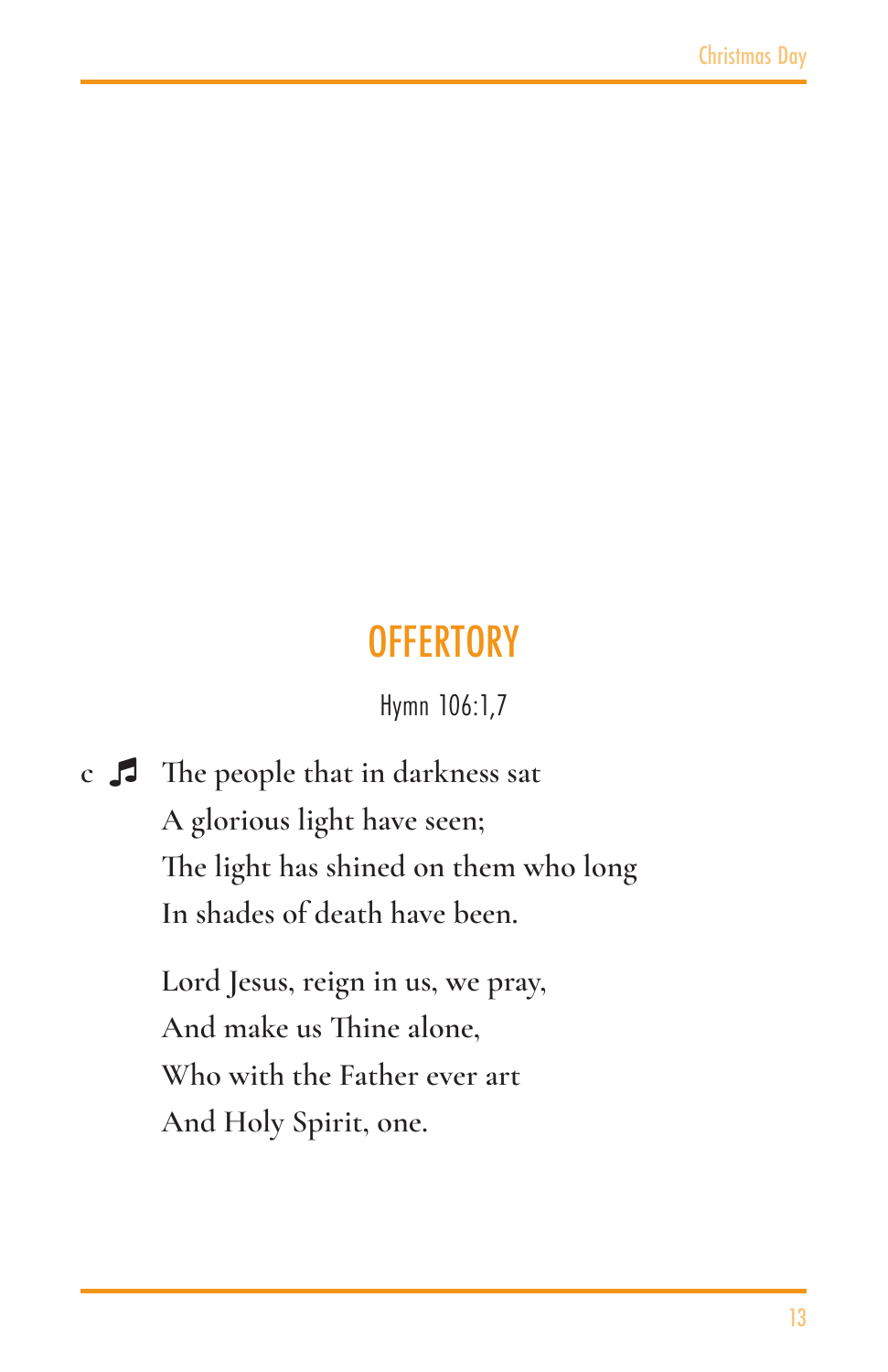# **OFFERTORY**

Hymn 106:1,7

**c The people that in darkness sat A glorious light have seen; The light has shined on them who long In shades of death have been.**

> **Lord Jesus, reign in us, we pray, And make us Thine alone, Who with the Father ever art And Holy Spirit, one.**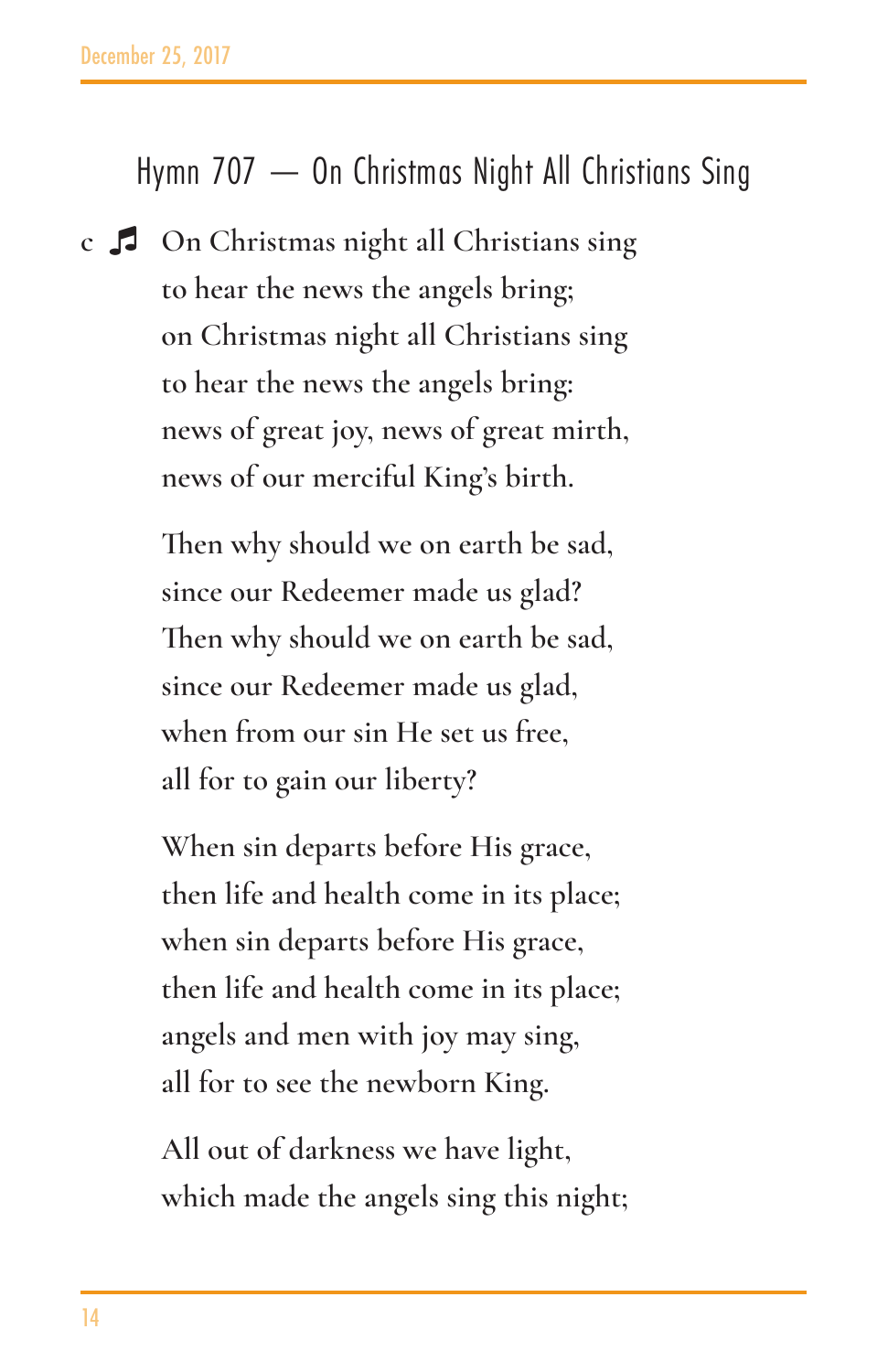### Hymn 707 — On Christmas Night All Christians Sing

**c On Christmas night all Christians sing to hear the news the angels bring; on Christmas night all Christians sing to hear the news the angels bring: news of great joy, news of great mirth, news of our merciful King's birth.**

> **Then why should we on earth be sad, since our Redeemer made us glad? Then why should we on earth be sad, since our Redeemer made us glad, when from our sin He set us free, all for to gain our liberty?**

**When sin departs before His grace, then life and health come in its place; when sin departs before His grace, then life and health come in its place; angels and men with joy may sing, all for to see the newborn King.**

**All out of darkness we have light, which made the angels sing this night;**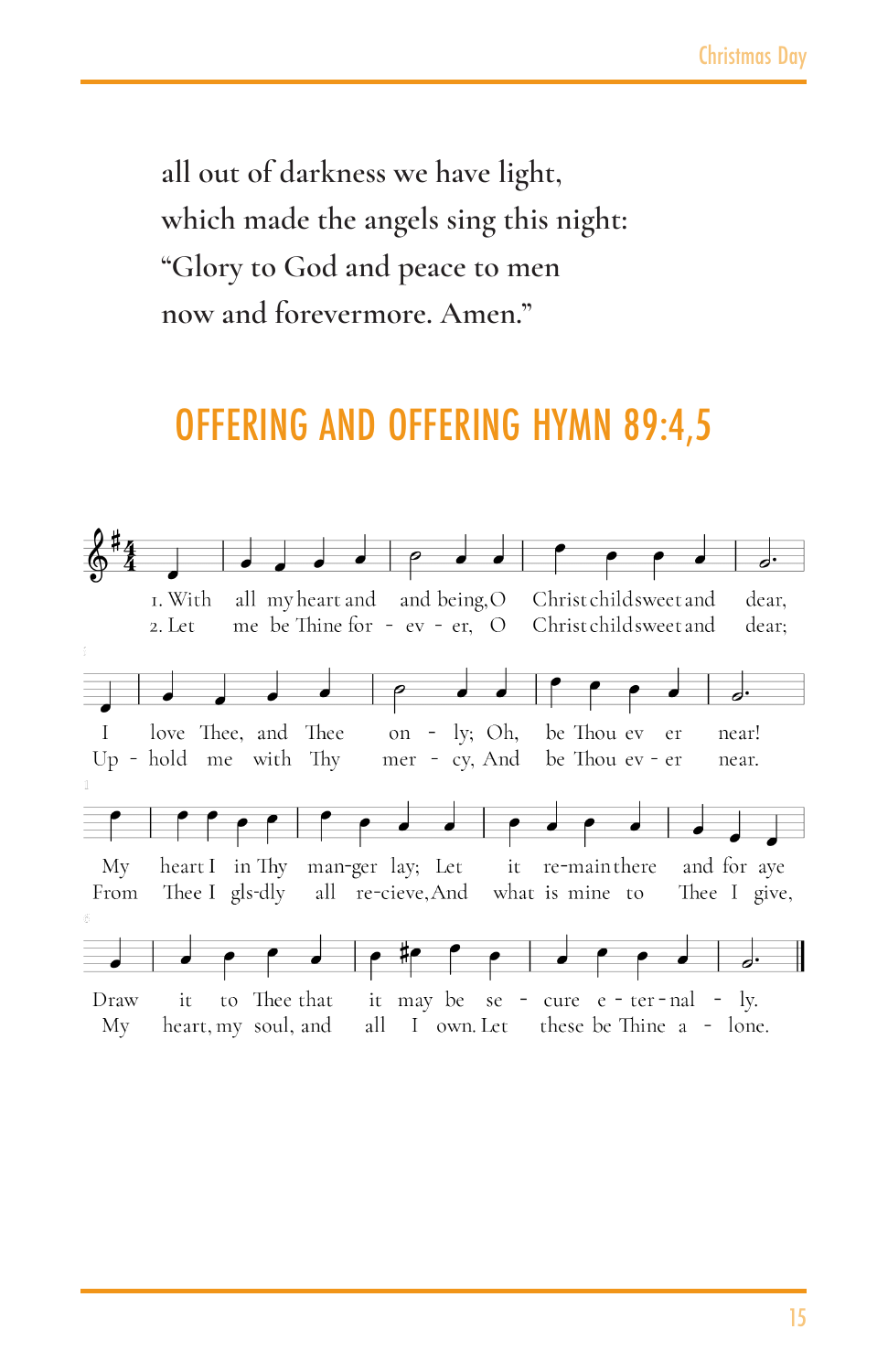**all out of darkness we have light, which made the angels sing this night: "Glory to God and peace to men now and forevermore. Amen."**

### OFFERING AND OFFERING HYMN 89:4,5

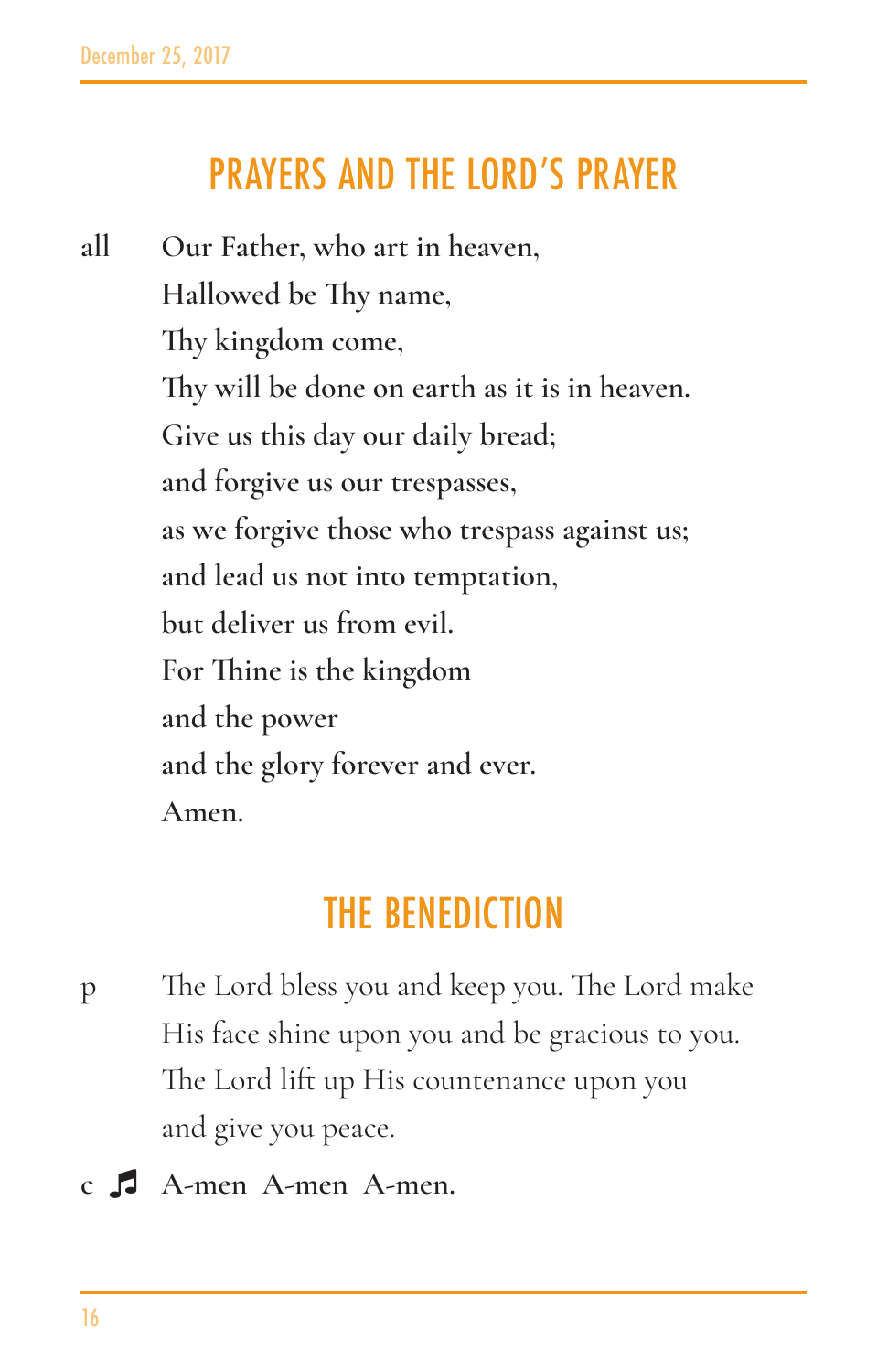# PRAYERS AND THE LORD'S PRAYER

**aall Our Father, who art in heaven, Hallowed be Thy name, Thy kingdom come, Thy will be done on earth as it is in heaven. Give us this day our daily bread; and forgive us our trespasses, as we forgive those who trespass against us; and lead us not into temptation, but deliver us from evil. For Thine is the kingdom and the power and the glory forever and ever. Amen.**

## THE BENEDICTION

- p The Lord bless you and keep you. The Lord make His face shine upon you and be gracious to you. The Lord lift up His countenance upon you and give you peace.
- **c A-men A-men A-men.**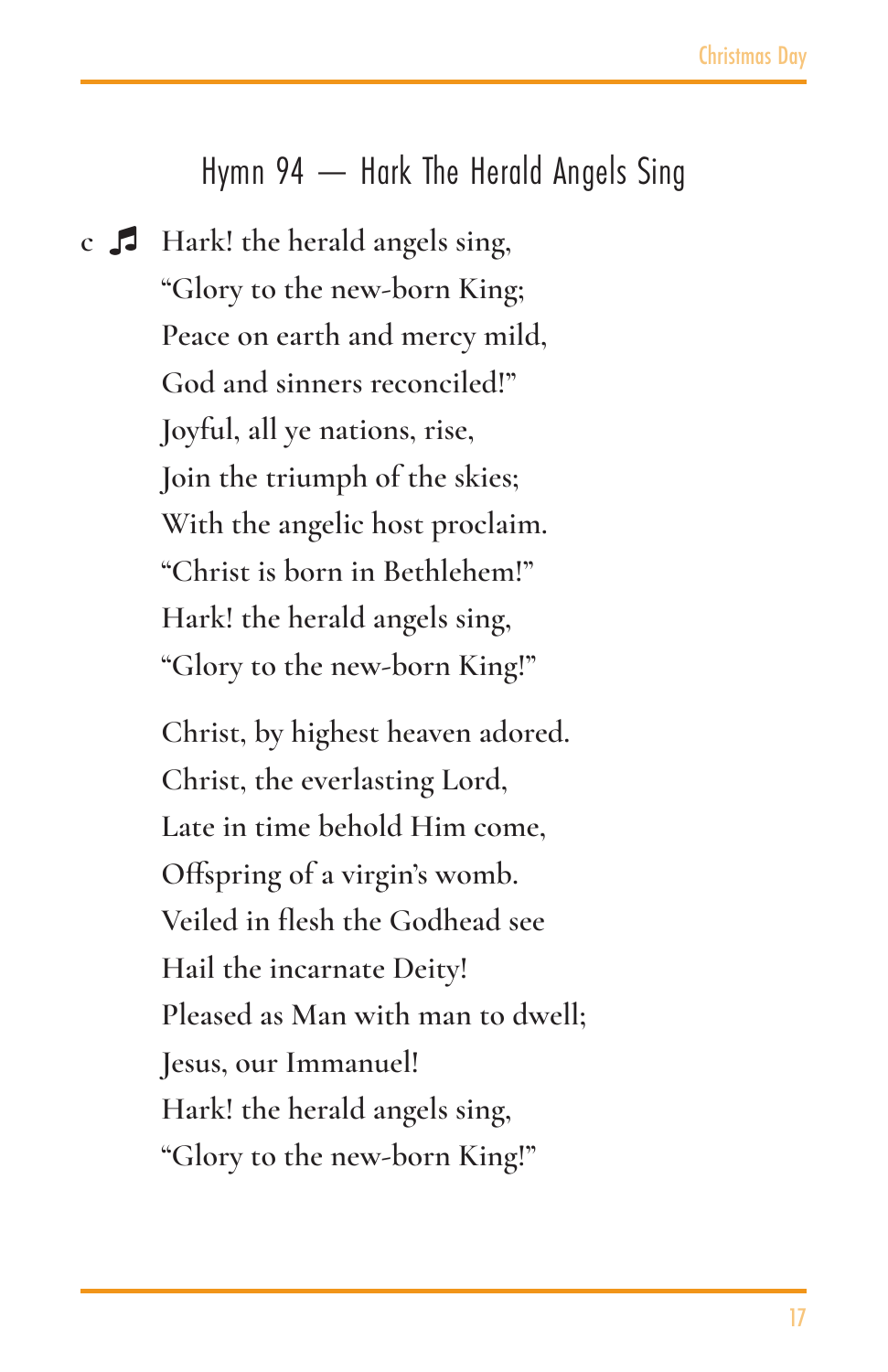#### Hymn 94 — Hark The Herald Angels Sing

**c Hark! the herald angels sing, "Glory to the new-born King; Peace on earth and mercy mild, God and sinners reconciled!" Joyful, all ye nations, rise, Join the triumph of the skies; With the angelic host proclaim. "Christ is born in Bethlehem!" Hark! the herald angels sing, "Glory to the new-born King!"**

> **Christ, by highest heaven adored. Christ, the everlasting Lord, Late in time behold Him come, Offspring of a virgin's womb. Veiled in flesh the Godhead see Hail the incarnate Deity! Pleased as Man with man to dwell; Jesus, our Immanuel! Hark! the herald angels sing, "Glory to the new-born King!"**